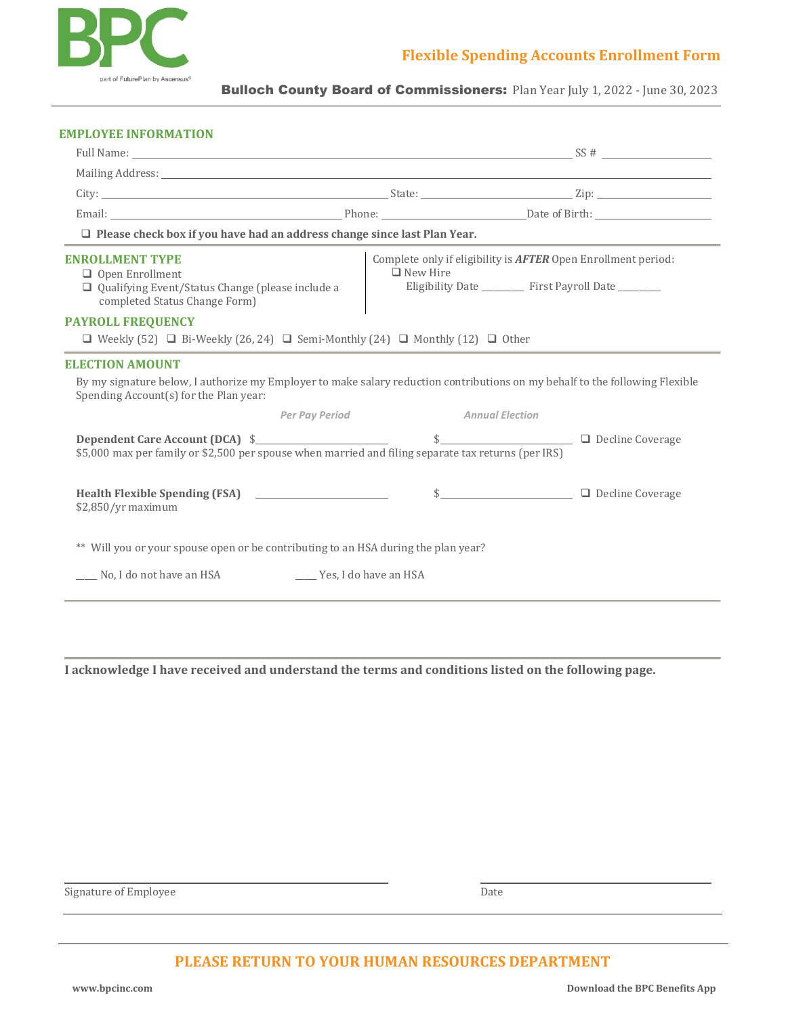

Bulloch County Board of Commissioners: Plan Year July 1, 2022 - June 30, 2023

## **EMPLOYEE INFORMATION**

| $\Box$ Please check box if you have had an address change since last Plan Year.                                                                                        |                 |                                                                                                                                  |
|------------------------------------------------------------------------------------------------------------------------------------------------------------------------|-----------------|----------------------------------------------------------------------------------------------------------------------------------|
| <b>ENROLLMENT TYPE</b><br>$\Box$ Open Enrollment<br>Qualifying Event/Status Change (please include a<br>completed Status Change Form)                                  | $\Box$ New Hire | Complete only if eligibility is <b>AFTER</b> Open Enrollment period:<br>Eligibility Date ___________ First Payroll Date ________ |
| <b>PAYROLL FREQUENCY</b><br>$\Box$ Weekly (52) $\Box$ Bi-Weekly (26, 24) $\Box$ Semi-Monthly (24) $\Box$ Monthly (12) $\Box$ Other                                     |                 |                                                                                                                                  |
| <b>ELECTION AMOUNT</b>                                                                                                                                                 |                 |                                                                                                                                  |
| By my signature below, I authorize my Employer to make salary reduction contributions on my behalf to the following Flexible<br>Spending Account(s) for the Plan year: |                 |                                                                                                                                  |
| Per Pay Period                                                                                                                                                         |                 | <b>Annual Election</b>                                                                                                           |
| \$<br>\$5,000 max per family or \$2,500 per spouse when married and filing separate tax returns (per IRS)                                                              |                 |                                                                                                                                  |
| Health Flexible Spending (FSA) ________________________<br>$$2,850/yr$ maximum                                                                                         |                 | \$                                                                                                                               |
| ** Will you or your spouse open or be contributing to an HSA during the plan year?                                                                                     |                 |                                                                                                                                  |
| No, I do not have an HSA<br>Yes, I do have an HSA                                                                                                                      |                 |                                                                                                                                  |

**I acknowledge I have received and understand the terms and conditions listed on the following page.**

Signature of Employee Date

## **PLEASE RETURN TO YOUR HUMAN RESOURCES DEPARTMENT**